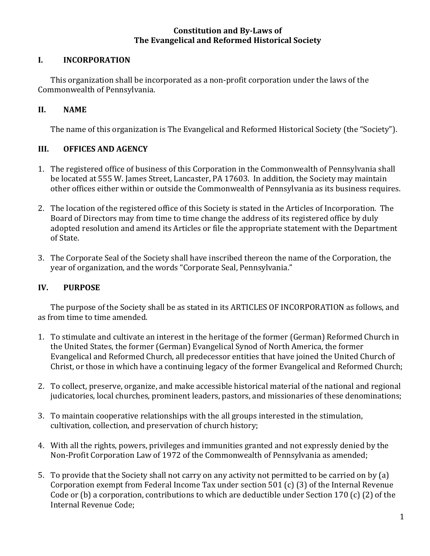#### **Constitution and By-Laws of The Evangelical and Reformed Historical Society**

#### **I. INCORPORATION**

This organization shall be incorporated as a non-profit corporation under the laws of the Commonwealth of Pennsylvania.

#### **II. NAME**

The name of this organization is The Evangelical and Reformed Historical Society (the "Society").

#### **III. OFFICES AND AGENCY**

- 1. The registered office of business of this Corporation in the Commonwealth of Pennsylvania shall be located at 555 W. James Street, Lancaster, PA 17603. In addition, the Society may maintain other offices either within or outside the Commonwealth of Pennsylvania as its business requires.
- 2. The location of the registered office of this Society is stated in the Articles of Incorporation. The Board of Directors may from time to time change the address of its registered office by duly adopted resolution and amend its Articles or file the appropriate statement with the Department of State.
- 3. The Corporate Seal of the Society shall have inscribed thereon the name of the Corporation, the year of organization, and the words "Corporate Seal, Pennsylvania."

# **IV. PURPOSE**

The purpose of the Society shall be as stated in its ARTICLES OF INCORPORATION as follows, and as from time to time amended.

- 1. To stimulate and cultivate an interest in the heritage of the former (German) Reformed Church in the United States, the former (German) Evangelical Synod of North America, the former Evangelical and Reformed Church, all predecessor entities that have joined the United Church of Christ, or those in which have a continuing legacy of the former Evangelical and Reformed Church;
- 2. To collect, preserve, organize, and make accessible historical material of the national and regional judicatories, local churches, prominent leaders, pastors, and missionaries of these denominations;
- 3. To maintain cooperative relationships with the all groups interested in the stimulation, cultivation, collection, and preservation of church history;
- 4. With all the rights, powers, privileges and immunities granted and not expressly denied by the Non-Profit Corporation Law of 1972 of the Commonwealth of Pennsylvania as amended;
- 5. To provide that the Society shall not carry on any activity not permitted to be carried on by (a) Corporation exempt from Federal Income Tax under section 501 (c) (3) of the Internal Revenue Code or (b) a corporation, contributions to which are deductible under Section 170 (c) (2) of the Internal Revenue Code: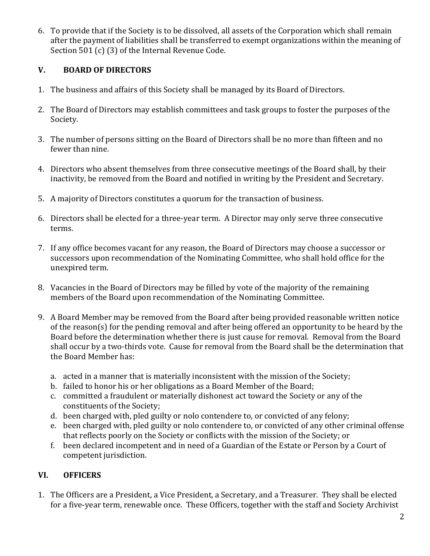6. To provide that if the Society is to be dissolved, all assets of the Corporation which shall remain after the payment of liabilities shall be transferred to exempt organizations within the meaning of Section  $501$  (c) (3) of the Internal Revenue Code.

# **V. BOARD OF DIRECTORS**

- 1. The business and affairs of this Society shall be managed by its Board of Directors.
- 2. The Board of Directors may establish committees and task groups to foster the purposes of the Society.
- 3. The number of persons sitting on the Board of Directors shall be no more than fifteen and no fewer than nine.
- 4. Directors who absent themselves from three consecutive meetings of the Board shall, by their inactivity, be removed from the Board and notified in writing by the President and Secretary.
- 5. A majority of Directors constitutes a quorum for the transaction of business.
- 6. Directors shall be elected for a three-year term. A Director may only serve three consecutive terms.
- 7. If any office becomes vacant for any reason, the Board of Directors may choose a successor or successors upon recommendation of the Nominating Committee, who shall hold office for the unexpired term.
- 8. Vacancies in the Board of Directors may be filled by vote of the majority of the remaining members of the Board upon recommendation of the Nominating Committee.
- 9. A Board Member may be removed from the Board after being provided reasonable written notice of the reason(s) for the pending removal and after being offered an opportunity to be heard by the Board before the determination whether there is just cause for removal. Removal from the Board shall occur by a two-thirds vote. Cause for removal from the Board shall be the determination that the Board Member has:
	- a. acted in a manner that is materially inconsistent with the mission of the Society;
	- b. failed to honor his or her obligations as a Board Member of the Board;
	- c. committed a fraudulent or materially dishonest act toward the Society or any of the constituents of the Society;
	- d. been charged with, pled guilty or nolo contendere to, or convicted of any felony;
	- e. been charged with, pled guilty or nolo contendere to, or convicted of any other criminal offense that reflects poorly on the Society or conflicts with the mission of the Society; or
	- f. been declared incompetent and in need of a Guardian of the Estate or Person by a Court of competent jurisdiction.

# **VI. OFFICERS**

1. The Officers are a President, a Vice President, a Secretary, and a Treasurer. They shall be elected for a five-year term, renewable once. These Officers, together with the staff and Society Archivist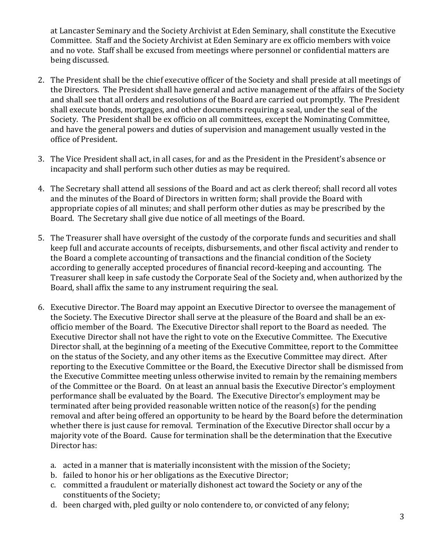at Lancaster Seminary and the Society Archivist at Eden Seminary, shall constitute the Executive Committee. Staff and the Society Archivist at Eden Seminary are ex officio members with voice and no vote. Staff shall be excused from meetings where personnel or confidential matters are being discussed.

- 2. The President shall be the chief executive officer of the Society and shall preside at all meetings of the Directors. The President shall have general and active management of the affairs of the Society and shall see that all orders and resolutions of the Board are carried out promptly. The President shall execute bonds, mortgages, and other documents requiring a seal, under the seal of the Society. The President shall be ex officio on all committees, except the Nominating Committee, and have the general powers and duties of supervision and management usually vested in the office of President.
- 3. The Vice President shall act, in all cases, for and as the President in the President's absence or incapacity and shall perform such other duties as may be required.
- 4. The Secretary shall attend all sessions of the Board and act as clerk thereof; shall record all votes and the minutes of the Board of Directors in written form; shall provide the Board with appropriate copies of all minutes; and shall perform other duties as may be prescribed by the Board. The Secretary shall give due notice of all meetings of the Board.
- 5. The Treasurer shall have oversight of the custody of the corporate funds and securities and shall keep full and accurate accounts of receipts, disbursements, and other fiscal activity and render to the Board a complete accounting of transactions and the financial condition of the Society according to generally accepted procedures of financial record-keeping and accounting. The Treasurer shall keep in safe custody the Corporate Seal of the Society and, when authorized by the Board, shall affix the same to any instrument requiring the seal.
- 6. Executive Director. The Board may appoint an Executive Director to oversee the management of the Society. The Executive Director shall serve at the pleasure of the Board and shall be an exofficio member of the Board. The Executive Director shall report to the Board as needed. The Executive Director shall not have the right to vote on the Executive Committee. The Executive Director shall, at the beginning of a meeting of the Executive Committee, report to the Committee on the status of the Society, and any other items as the Executive Committee may direct. After reporting to the Executive Committee or the Board, the Executive Director shall be dismissed from the Executive Committee meeting unless otherwise invited to remain by the remaining members of the Committee or the Board. On at least an annual basis the Executive Director's employment performance shall be evaluated by the Board. The Executive Director's employment may be terminated after being provided reasonable written notice of the reason(s) for the pending removal and after being offered an opportunity to be heard by the Board before the determination whether there is just cause for removal. Termination of the Executive Director shall occur by a majority vote of the Board. Cause for termination shall be the determination that the Executive Director has:
	- a. acted in a manner that is materially inconsistent with the mission of the Society;
	- b. failed to honor his or her obligations as the Executive Director;
	- c. committed a fraudulent or materially dishonest act toward the Society or any of the constituents of the Society;
	- d. been charged with, pled guilty or nolo contendere to, or convicted of any felony;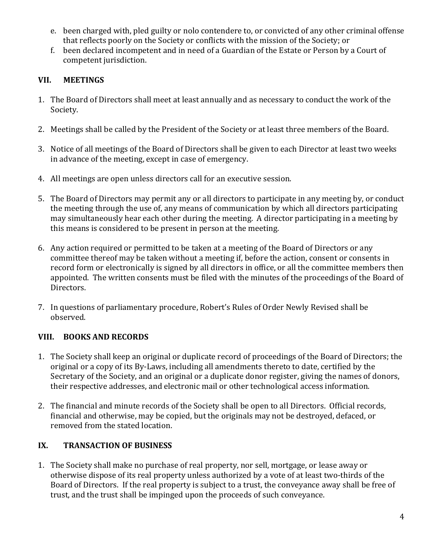- e. been charged with, pled guilty or nolo contendere to, or convicted of any other criminal offense that reflects poorly on the Society or conflicts with the mission of the Society; or
- f. been declared incompetent and in need of a Guardian of the Estate or Person by a Court of competent jurisdiction.

### **VII. MEETINGS**

- 1. The Board of Directors shall meet at least annually and as necessary to conduct the work of the Society.
- 2. Meetings shall be called by the President of the Society or at least three members of the Board.
- 3. Notice of all meetings of the Board of Directors shall be given to each Director at least two weeks in advance of the meeting, except in case of emergency.
- 4. All meetings are open unless directors call for an executive session.
- 5. The Board of Directors may permit any or all directors to participate in any meeting by, or conduct the meeting through the use of, any means of communication by which all directors participating may simultaneously hear each other during the meeting. A director participating in a meeting by this means is considered to be present in person at the meeting.
- 6. Any action required or permitted to be taken at a meeting of the Board of Directors or any committee thereof may be taken without a meeting if, before the action, consent or consents in record form or electronically is signed by all directors in office, or all the committee members then appointed. The written consents must be filed with the minutes of the proceedings of the Board of Directors.
- 7. In questions of parliamentary procedure, Robert's Rules of Order Newly Revised shall be observed.

# **VIII.** BOOKS AND RECORDS

- 1. The Society shall keep an original or duplicate record of proceedings of the Board of Directors; the original or a copy of its By-Laws, including all amendments thereto to date, certified by the Secretary of the Society, and an original or a duplicate donor register, giving the names of donors, their respective addresses, and electronic mail or other technological access information.
- 2. The financial and minute records of the Society shall be open to all Directors. Official records, financial and otherwise, may be copied, but the originals may not be destroyed, defaced, or removed from the stated location.

# IX. **TRANSACTION OF BUSINESS**

1. The Society shall make no purchase of real property, nor sell, mortgage, or lease away or otherwise dispose of its real property unless authorized by a vote of at least two-thirds of the Board of Directors. If the real property is subject to a trust, the conveyance away shall be free of trust, and the trust shall be impinged upon the proceeds of such conveyance.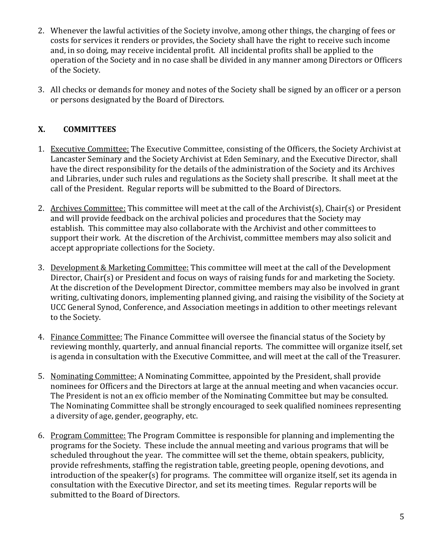- 2. Whenever the lawful activities of the Society involve, among other things, the charging of fees or costs for services it renders or provides, the Society shall have the right to receive such income and, in so doing, may receive incidental profit. All incidental profits shall be applied to the operation of the Society and in no case shall be divided in any manner among Directors or Officers of the Society.
- 3. All checks or demands for money and notes of the Society shall be signed by an officer or a person or persons designated by the Board of Directors.

#### **X. COMMITTEES**

- 1. Executive Committee: The Executive Committee, consisting of the Officers, the Society Archivist at Lancaster Seminary and the Society Archivist at Eden Seminary, and the Executive Director, shall have the direct responsibility for the details of the administration of the Society and its Archives and Libraries, under such rules and regulations as the Society shall prescribe. It shall meet at the call of the President. Regular reports will be submitted to the Board of Directors.
- 2. Archives Committee: This committee will meet at the call of the Archivist(s), Chair(s) or President and will provide feedback on the archival policies and procedures that the Society may establish. This committee may also collaborate with the Archivist and other committees to support their work. At the discretion of the Archivist, committee members may also solicit and accept appropriate collections for the Society.
- 3. Development & Marketing Committee: This committee will meet at the call of the Development Director, Chair(s) or President and focus on ways of raising funds for and marketing the Society. At the discretion of the Development Director, committee members may also be involved in grant writing, cultivating donors, implementing planned giving, and raising the visibility of the Society at UCC General Synod, Conference, and Association meetings in addition to other meetings relevant to the Society.
- 4. Finance Committee: The Finance Committee will oversee the financial status of the Society by reviewing monthly, quarterly, and annual financial reports. The committee will organize itself, set is agenda in consultation with the Executive Committee, and will meet at the call of the Treasurer.
- 5. Nominating Committee: A Nominating Committee, appointed by the President, shall provide nominees for Officers and the Directors at large at the annual meeting and when vacancies occur. The President is not an ex officio member of the Nominating Committee but may be consulted. The Nominating Committee shall be strongly encouraged to seek qualified nominees representing a diversity of age, gender, geography, etc.
- 6. Program Committee: The Program Committee is responsible for planning and implementing the programs for the Society. These include the annual meeting and various programs that will be scheduled throughout the year. The committee will set the theme, obtain speakers, publicity, provide refreshments, staffing the registration table, greeting people, opening devotions, and  $introduction of the speaker(s) for programs. The committee will organize itself, set its agenda in$ consultation with the Executive Director, and set its meeting times. Regular reports will be submitted to the Board of Directors.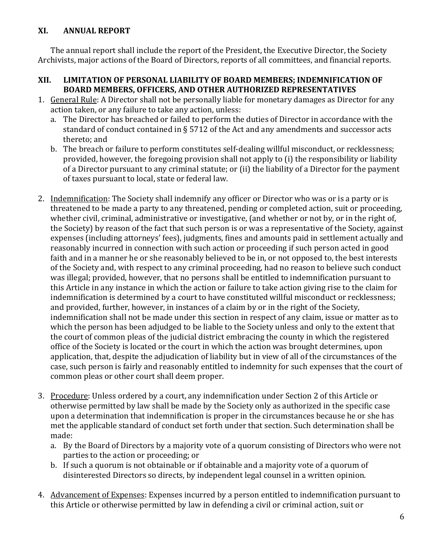#### **XI. ANNUAL REPORT**

The annual report shall include the report of the President, the Executive Director, the Society Archivists, major actions of the Board of Directors, reports of all committees, and financial reports.

#### XII. LIMITATION OF PERSONAL LIABILITY OF BOARD MEMBERS; INDEMNIFICATION OF **BOARD MEMBERS, OFFICERS, AND OTHER AUTHORIZED REPRESENTATIVES**

- 1. General Rule: A Director shall not be personally liable for monetary damages as Director for any action taken, or any failure to take any action, unless:
	- a. The Director has breached or failed to perform the duties of Director in accordance with the standard of conduct contained in § 5712 of the Act and any amendments and successor acts thereto; and
	- b. The breach or failure to perform constitutes self-dealing willful misconduct, or recklessness; provided, however, the foregoing provision shall not apply to (i) the responsibility or liability of a Director pursuant to any criminal statute; or (ii) the liability of a Director for the payment of taxes pursuant to local, state or federal law.
- 2. Indemnification: The Society shall indemnify any officer or Director who was or is a party or is threatened to be made a party to any threatened, pending or completed action, suit or proceeding, whether civil, criminal, administrative or investigative, (and whether or not by, or in the right of, the Society) by reason of the fact that such person is or was a representative of the Society, against expenses (including attorneys' fees), judgments, fines and amounts paid in settlement actually and reasonably incurred in connection with such action or proceeding if such person acted in good faith and in a manner he or she reasonably believed to be in, or not opposed to, the best interests of the Society and, with respect to any criminal proceeding, had no reason to believe such conduct was illegal; provided, however, that no persons shall be entitled to indemnification pursuant to this Article in any instance in which the action or failure to take action giving rise to the claim for indemnification is determined by a court to have constituted willful misconduct or recklessness; and provided, further, however, in instances of a claim by or in the right of the Society, indemnification shall not be made under this section in respect of any claim, issue or matter as to which the person has been adjudged to be liable to the Society unless and only to the extent that the court of common pleas of the judicial district embracing the county in which the registered office of the Society is located or the court in which the action was brought determines, upon application, that, despite the adjudication of liability but in view of all of the circumstances of the case, such person is fairly and reasonably entitled to indemnity for such expenses that the court of common pleas or other court shall deem proper.
- 3. Procedure: Unless ordered by a court, any indemnification under Section 2 of this Article or otherwise permitted by law shall be made by the Society only as authorized in the specific case upon a determination that indemnification is proper in the circumstances because he or she has met the applicable standard of conduct set forth under that section. Such determination shall be made:
	- a. By the Board of Directors by a majority vote of a quorum consisting of Directors who were not parties to the action or proceeding; or
	- b. If such a quorum is not obtainable or if obtainable and a majority vote of a quorum of disinterested Directors so directs, by independent legal counsel in a written opinion.
- 4. Advancement of Expenses: Expenses incurred by a person entitled to indemnification pursuant to this Article or otherwise permitted by law in defending a civil or criminal action, suit or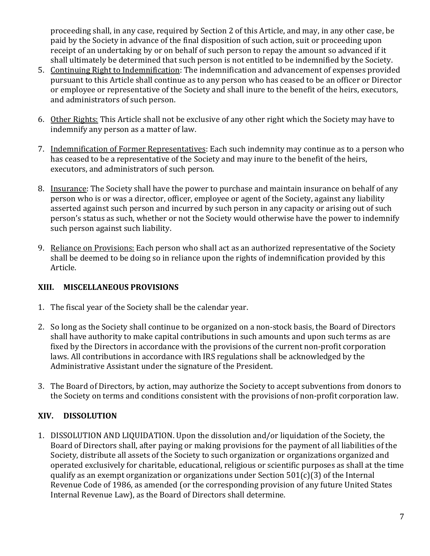proceeding shall, in any case, required by Section 2 of this Article, and may, in any other case, be paid by the Society in advance of the final disposition of such action, suit or proceeding upon receipt of an undertaking by or on behalf of such person to repay the amount so advanced if it shall ultimately be determined that such person is not entitled to be indemnified by the Society.

- 5. Continuing Right to Indemnification: The indemnification and advancement of expenses provided pursuant to this Article shall continue as to any person who has ceased to be an officer or Director or employee or representative of the Society and shall inure to the benefit of the heirs, executors, and administrators of such person.
- 6. Other Rights: This Article shall not be exclusive of any other right which the Society may have to indemnify any person as a matter of law.
- 7. Indemnification of Former Representatives: Each such indemnity may continue as to a person who has ceased to be a representative of the Society and may inure to the benefit of the heirs, executors, and administrators of such person.
- 8. Insurance: The Society shall have the power to purchase and maintain insurance on behalf of any person who is or was a director, officer, employee or agent of the Society, against any liability asserted against such person and incurred by such person in any capacity or arising out of such person's status as such, whether or not the Society would otherwise have the power to indemnify such person against such liability.
- 9. Reliance on Provisions: Each person who shall act as an authorized representative of the Society shall be deemed to be doing so in reliance upon the rights of indemnification provided by this Article.

# **XIII. MISCELLANEOUS PROVISIONS**

- 1. The fiscal year of the Society shall be the calendar year.
- 2. So long as the Society shall continue to be organized on a non-stock basis, the Board of Directors shall have authority to make capital contributions in such amounts and upon such terms as are fixed by the Directors in accordance with the provisions of the current non-profit corporation laws. All contributions in accordance with IRS regulations shall be acknowledged by the Administrative Assistant under the signature of the President.
- 3. The Board of Directors, by action, may authorize the Society to accept subventions from donors to the Society on terms and conditions consistent with the provisions of non-profit corporation law.

# **XIV. DISSOLUTION**

1. DISSOLUTION AND LIQUIDATION. Upon the dissolution and/or liquidation of the Society, the Board of Directors shall, after paying or making provisions for the payment of all liabilities of the Society, distribute all assets of the Society to such organization or organizations organized and operated exclusively for charitable, educational, religious or scientific purposes as shall at the time qualify as an exempt organization or organizations under Section  $501(c)(3)$  of the Internal Revenue Code of 1986, as amended (or the corresponding provision of any future United States Internal Revenue Law), as the Board of Directors shall determine.